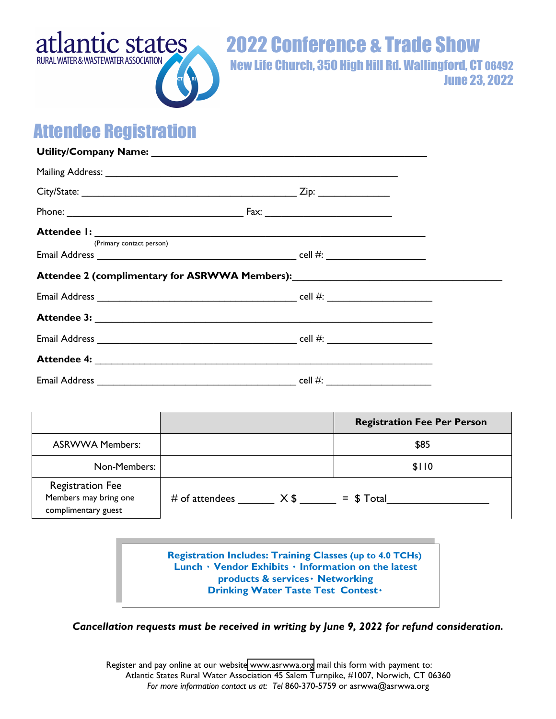

2022 Conference & Trade Show New Life Church, 350 High Hill Rd. Wallingford, CT 06492

June 23, 2022

## Attendee Registration

| Mailing Address: 1988 and 2008 and 2008 and 2008 and 2008 and 2008 and 2008 and 2008 and 2008 and 2008 and 200 |  |  |                                    |      |  |
|----------------------------------------------------------------------------------------------------------------|--|--|------------------------------------|------|--|
|                                                                                                                |  |  |                                    |      |  |
|                                                                                                                |  |  |                                    |      |  |
|                                                                                                                |  |  |                                    |      |  |
| (Primary contact person)                                                                                       |  |  |                                    |      |  |
| Attendee 2 (complimentary for ASRWWA Members): Mattendee 2 (complimentary for ASRWWA Members):                 |  |  |                                    |      |  |
|                                                                                                                |  |  |                                    |      |  |
|                                                                                                                |  |  |                                    |      |  |
|                                                                                                                |  |  |                                    |      |  |
|                                                                                                                |  |  |                                    |      |  |
|                                                                                                                |  |  |                                    |      |  |
|                                                                                                                |  |  |                                    |      |  |
|                                                                                                                |  |  | <b>Registration Fee Per Person</b> |      |  |
| <b>ASRWWA Members:</b>                                                                                         |  |  |                                    | \$85 |  |
| Non-Members:                                                                                                   |  |  | \$110                              |      |  |
| <b>Registration Fee</b><br>Members may bring one<br>complimentary guest                                        |  |  |                                    |      |  |

**Registration Includes: Training Classes (up to 4.0 TCHs) Lunch ۰ Vendor Exhibits** ٠ **Information on the latest products & services**٠ **Networking Drinking Water Taste Test Contest**٠

*Cancellation requests must be received in writing by June 9, 2022 for refund consideration.*

Register and pay online at our website [www.asrwwa.org](https://www.asrwwa.org/conference.html) mail this form with payment to: Atlantic States Rural Water Association 45 Salem Turnpike, #1007, Norwich, CT 06360 *For more information contact us at: Tel* 860-370-5759 or asrwwa@asrwwa.org